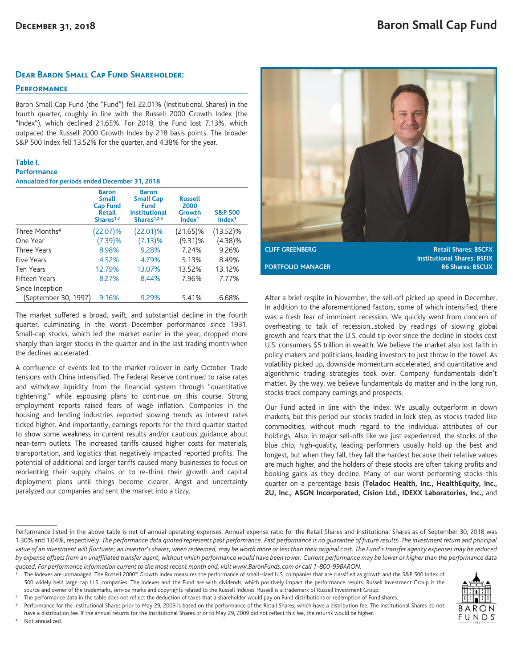# **Dear Baron Small Cap Fund Shareholder:**

## **Performance**

Baron Small Cap Fund (the "Fund") fell 22.01% (Institutional Shares) in the fourth quarter, roughly in line with the Russell 2000 Growth Index (the "Index"), which declined 21.65%. For 2018, the Fund lost 7.13%, which outpaced the Russell 2000 Growth Index by 218 basis points. The broader S&P 500 Index fell 13.52% for the quarter, and 4.38% for the year.

# **Table I.**

# **Performance**

## **Annualized for periods ended December 31, 2018**

|                           | <b>Baron</b><br><b>Small</b><br><b>Cap Fund</b><br><b>Retail</b><br>Shares <sup>1,2</sup> | <b>Baron</b><br><b>Small Cap</b><br>Fund<br><b>Institutional</b><br>Shares $1,2,3$ | <b>Russell</b><br>2000<br>Growth<br>Index <sup>1</sup> | <b>S&amp;P 500</b><br>Index <sup>1</sup> |
|---------------------------|-------------------------------------------------------------------------------------------|------------------------------------------------------------------------------------|--------------------------------------------------------|------------------------------------------|
| Three Months <sup>4</sup> | (22.07)%                                                                                  | $(22.01)\%$                                                                        | (21.65)%                                               | $(13.52)\%$                              |
| One Year                  | (7.39)%                                                                                   | (7.13)%                                                                            | (9.31)%                                                | (4.38)%                                  |
| Three Years               | 8.98%                                                                                     | 9.28%                                                                              | 7.24%                                                  | 9.26%                                    |
| Five Years                | 4.52%                                                                                     | 4.79%                                                                              | 5.13%                                                  | 8.49%                                    |
| <b>Ten Years</b>          | 12.79%                                                                                    | 13.07%                                                                             | 13.52%                                                 | 13.12%                                   |
| Fifteen Years             | 8.27%                                                                                     | 8.44%                                                                              | 7.96%                                                  | 7.77%                                    |
| Since Inception           |                                                                                           |                                                                                    |                                                        |                                          |
| (September 30, 1997)      | 9.16%                                                                                     | 9.29%                                                                              | 5.41%                                                  | 6.68%                                    |

The market suffered a broad, swift, and substantial decline in the fourth quarter, culminating in the worst December performance since 1931. Small-cap stocks, which led the market earlier in the year, dropped more sharply than larger stocks in the quarter and in the last trading month when the declines accelerated.

A confluence of events led to the market rollover in early October. Trade tensions with China intensified. The Federal Reserve continued to raise rates and withdraw liquidity from the financial system through "quantitative tightening," while espousing plans to continue on this course. Strong employment reports raised fears of wage inflation. Companies in the housing and lending industries reported slowing trends as interest rates ticked higher. And importantly, earnings reports for the third quarter started to show some weakness in current results and/or cautious guidance about near-term outlets. The increased tariffs caused higher costs for materials, transportation, and logistics that negatively impacted reported profits. The potential of additional and larger tariffs caused many businesses to focus on reorienting their supply chains or to re-think their growth and capital deployment plans until things become clearer. Angst and uncertainty paralyzed our companies and sent the market into a tizzy.



After a brief respite in November, the sell-off picked up speed in December. In addition to the aforementioned factors, some of which intensified, there was a fresh fear of imminent recession. We quickly went from concern of overheating to talk of recession...stoked by readings of slowing global growth and fears that the U.S. could tip over since the decline in stocks cost U.S. consumers \$5 trillion in wealth. We believe the market also lost faith in policy makers and politicians, leading investors to just throw in the towel. As volatility picked up, downside momentum accelerated, and quantitative and algorithmic trading strategies took over. Company fundamentals didn't matter. By the way, we believe fundamentals do matter and in the long run, stocks track company earnings and prospects.

Our Fund acted in line with the Index. We usually outperform in down markets, but this period our stocks traded in lock step, as stocks traded like commodities, without much regard to the individual attributes of our holdings. Also, in major sell-offs like we just experienced, the stocks of the blue chip, high-quality, leading performers usually hold up the best and longest, but when they fall, they fall the hardest because their relative values are much higher, and the holders of these stocks are often taking profits and booking gains as they decline. Many of our worst performing stocks this quarter on a percentage basis (**Teladoc Health, Inc., HealthEquity, Inc., 2U, Inc., ASGN Incorporated, Cision Ltd., IDEXX Laboratories, Inc.,** and

have a distribution fee. If the annual returns for the Institutional Shares prior to May 29, 2009 did not reflect this fee, the returns would be higher. Not annualized.



Performance listed in the above table is net of annual operating expenses. Annual expense ratio for the Retail Shares and Institutional Shares as of September 30, 2018 was 1.30% and 1.04%, respectively. *The performance data quoted represents past performance. Past performance is no guarantee of future results. The investment return and principal value of an investment will fluctuate; an investor's shares, when redeemed, may be worth more or less than their original cost. The Fund's transfer agency expenses may be reduced by expense offsets from an unaffiliated transfer agent, without which performance would have been lower. Current performance may be lower or higher than the performance data quoted. For performance information current to the most recent month end, visit www.BaronFunds.com or call 1-800-99BARON.*

The indexes are unmanaged. The Russell 2000® Growth Index measures the performance of small-sized U.S. companies that are classified as growth and the S&P 500 Index of 500 widely held large cap U.S. companies. The indexes and the Fund are with dividends, which positively impact the performance results. Russell Investment Group is the source and owner of the trademarks, service marks and copyrights related to the Russell Indexes. Russell is a trademark of Russell Investment Group.

<sup>&</sup>lt;sup>2</sup> The performance data in the table does not reflect the deduction of taxes that a shareholder would pay on Fund distributions or redemption of Fund shares.

Performance for the Institutional Shares prior to May 29, 2009 is based on the performance of the Retail Shares, which have a distribution fee. The Institutional Shares do not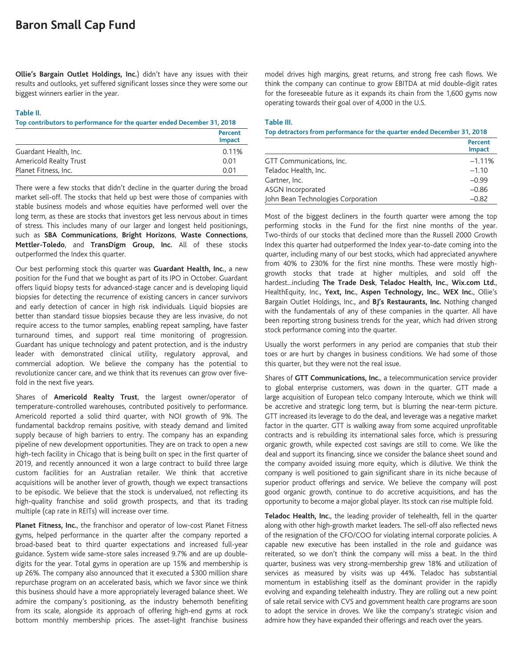**Ollie's Bargain Outlet Holdings, Inc.**) didn't have any issues with their results and outlooks, yet suffered significant losses since they were some our biggest winners earlier in the year.

## **Table II.**

#### **Top contributors to performance for the quarter ended December 31, 2018**

|                        | Percent<br>Impact |
|------------------------|-------------------|
| Guardant Health, Inc.  | 0.11%             |
| Americold Realty Trust | 0.01              |
| Planet Fitness, Inc.   | 0.01              |

There were a few stocks that didn't decline in the quarter during the broad market sell-off. The stocks that held up best were those of companies with stable business models and whose equities have performed well over the long term, as these are stocks that investors get less nervous about in times of stress. This includes many of our larger and longest held positionings, such as **SBA Communications**, **Bright Horizons**, **Waste Connections**, **Mettler-Toledo**, and **TransDigm Group, Inc.** All of these stocks outperformed the Index this quarter.

Our best performing stock this quarter was **Guardant Health, Inc.**, a new position for the Fund that we bought as part of its IPO in October. Guardant offers liquid biopsy tests for advanced-stage cancer and is developing liquid biopsies for detecting the recurrence of existing cancers in cancer survivors and early detection of cancer in high risk individuals. Liquid biopsies are better than standard tissue biopsies because they are less invasive, do not require access to the tumor samples, enabling repeat sampling, have faster turnaround times, and support real time monitoring of progression. Guardant has unique technology and patent protection, and is the industry leader with demonstrated clinical utility, regulatory approval, and commercial adoption. We believe the company has the potential to revolutionize cancer care, and we think that its revenues can grow over fivefold in the next five years.

Shares of **Americold Realty Trust**, the largest owner/operator of temperature-controlled warehouses, contributed positively to performance. Americold reported a solid third quarter, with NOI growth of 9%. The fundamental backdrop remains positive, with steady demand and limited supply because of high barriers to entry. The company has an expanding pipeline of new development opportunities. They are on track to open a new high-tech facility in Chicago that is being built on spec in the first quarter of 2019, and recently announced it won a large contract to build three large custom facilities for an Australian retailer. We think that accretive acquisitions will be another lever of growth, though we expect transactions to be episodic. We believe that the stock is undervalued, not reflecting its high-quality franchise and solid growth prospects, and that its trading multiple (cap rate in REITs) will increase over time.

**Planet Fitness, Inc.**, the franchisor and operator of low-cost Planet Fitness gyms, helped performance in the quarter after the company reported a broad-based beat to third quarter expectations and increased full-year guidance. System wide same-store sales increased 9.7% and are up doubledigits for the year. Total gyms in operation are up 15% and membership is up 26%. The company also announced that it executed a \$300 million share repurchase program on an accelerated basis, which we favor since we think this business should have a more appropriately leveraged balance sheet. We admire the company's positioning, as the industry behemoth benefiting from its scale, alongside its approach of offering high-end gyms at rock bottom monthly membership prices. The asset-light franchise business model drives high margins, great returns, and strong free cash flows. We think the company can continue to grow EBITDA at mid double-digit rates for the foreseeable future as it expands its chain from the 1,600 gyms now operating towards their goal over of 4,000 in the U.S.

#### **Table III.**

**Top detractors from performance for the quarter ended December 31, 2018**

|                                    | Percent<br><b>Impact</b> |
|------------------------------------|--------------------------|
| GTT Communications, Inc.           | $-1.11%$                 |
| Teladoc Health, Inc.               | $-1.10$                  |
| Gartner, Inc.                      | $-0.99$                  |
| ASGN Incorporated                  | $-0.86$                  |
| John Bean Technologies Corporation | $-0.82$                  |

Most of the biggest decliners in the fourth quarter were among the top performing stocks in the Fund for the first nine months of the year. Two-thirds of our stocks that declined more than the Russell 2000 Growth Index this quarter had outperformed the Index year-to-date coming into the quarter, including many of our best stocks, which had appreciated anywhere from 40% to 230% for the first nine months. These were mostly highgrowth stocks that trade at higher multiples, and sold off the hardest...including **The Trade Desk**, **Teladoc Health, Inc.**, **Wix.com Ltd.**, HealthEquity, Inc., **Yext, Inc.**, **Aspen Technology, Inc.**, **WEX Inc.**, Ollie's Bargain Outlet Holdings, Inc., and **BJ's Restaurants, Inc.** Nothing changed with the fundamentals of any of these companies in the quarter. All have been reporting strong business trends for the year, which had driven strong stock performance coming into the quarter.

Usually the worst performers in any period are companies that stub their toes or are hurt by changes in business conditions. We had some of those this quarter, but they were not the real issue.

Shares of **GTT Communications, Inc.**, a telecommunication service provider to global enterprise customers, was down in the quarter. GTT made a large acquisition of European telco company Interoute, which we think will be accretive and strategic long term, but is blurring the near-term picture. GTT increased its leverage to do the deal, and leverage was a negative market factor in the quarter. GTT is walking away from some acquired unprofitable contracts and is rebuilding its international sales force, which is pressuring organic growth, while expected cost savings are still to come. We like the deal and support its financing, since we consider the balance sheet sound and the company avoided issuing more equity, which is dilutive. We think the company is well positioned to gain significant share in its niche because of superior product offerings and service. We believe the company will post good organic growth, continue to do accretive acquisitions, and has the opportunity to become a major global player. Its stock can rise multiple fold.

**Teladoc Health, Inc.**, the leading provider of telehealth, fell in the quarter along with other high-growth market leaders. The sell-off also reflected news of the resignation of the CFO/COO for violating internal corporate policies. A capable new executive has been installed in the role and guidance was reiterated, so we don't think the company will miss a beat. In the third quarter, business was very strong-membership grew 18% and utilization of services as measured by visits was up 44%. Teladoc has substantial momentum in establishing itself as the dominant provider in the rapidly evolving and expanding telehealth industry. They are rolling out a new point of sale retail service with CVS and government health care programs are soon to adopt the service in droves. We like the company's strategic vision and admire how they have expanded their offerings and reach over the years.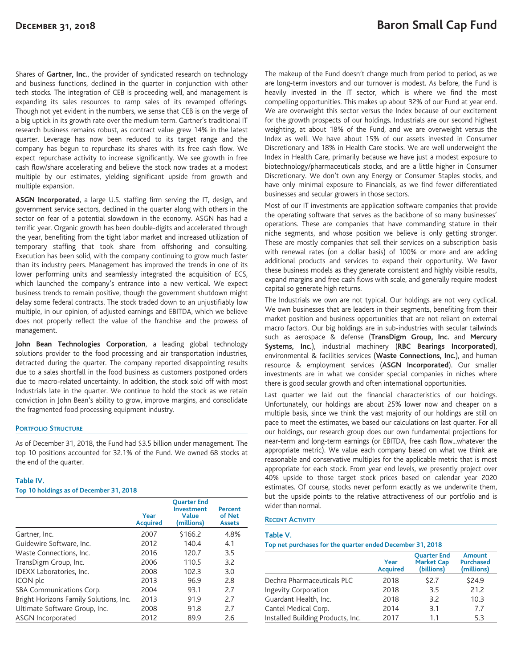Shares of **Gartner, Inc.**, the provider of syndicated research on technology and business functions, declined in the quarter in conjunction with other tech stocks. The integration of CEB is proceeding well, and management is expanding its sales resources to ramp sales of its revamped offerings. Though not yet evident in the numbers, we sense that CEB is on the verge of a big uptick in its growth rate over the medium term. Gartner's traditional IT research business remains robust, as contract value grew 14% in the latest quarter. Leverage has now been reduced to its target range and the company has begun to repurchase its shares with its free cash flow. We expect repurchase activity to increase significantly. We see growth in free cash flow/share accelerating and believe the stock now trades at a modest multiple by our estimates, yielding significant upside from growth and multiple expansion.

**ASGN Incorporated**, a large U.S. staffing firm serving the IT, design, and government service sectors, declined in the quarter along with others in the sector on fear of a potential slowdown in the economy. ASGN has had a terrific year. Organic growth has been double-digits and accelerated through the year, benefiting from the tight labor market and increased utilization of temporary staffing that took share from offshoring and consulting. Execution has been solid, with the company continuing to grow much faster than its industry peers. Management has improved the trends in one of its lower performing units and seamlessly integrated the acquisition of ECS, which launched the company's entrance into a new vertical. We expect business trends to remain positive, though the government shutdown might delay some federal contracts. The stock traded down to an unjustifiably low multiple, in our opinion, of adjusted earnings and EBITDA, which we believe does not properly reflect the value of the franchise and the prowess of management.

**John Bean Technologies Corporation**, a leading global technology solutions provider to the food processing and air transportation industries, detracted during the quarter. The company reported disappointing results due to a sales shortfall in the food business as customers postponed orders due to macro-related uncertainty. In addition, the stock sold off with most Industrials late in the quarter. We continue to hold the stock as we retain conviction in John Bean's ability to grow, improve margins, and consolidate the fragmented food processing equipment industry.

## **PORTFOLIO STRUCTURE**

As of December 31, 2018, the Fund had \$3.5 billion under management. The top 10 positions accounted for 32.1% of the Fund. We owned 68 stocks at the end of the quarter.

#### **Table IV.**

#### **Top 10 holdings as of December 31, 2018**

|                                        | Year<br><b>Acquired</b> | <b>Ouarter End</b><br><b>Investment</b><br>Value<br>(millions) | Percent<br>of Net<br><b>Assets</b> |
|----------------------------------------|-------------------------|----------------------------------------------------------------|------------------------------------|
| Gartner, Inc.                          | 2007                    | \$166.2                                                        | 4.8%                               |
| Guidewire Software, Inc.               | 2012                    | 140.4                                                          | 4.1                                |
| Waste Connections, Inc.                | 2016                    | 120.7                                                          | 3.5                                |
| TransDigm Group, Inc.                  | 2006                    | 110.5                                                          | 3.2                                |
| IDEXX Laboratories, Inc.               | 2008                    | 102.3                                                          | 3.0                                |
| ICON plc                               | 2013                    | 96.9                                                           | 2.8                                |
| SBA Communications Corp.               | 2004                    | 93.1                                                           | 2.7                                |
| Bright Horizons Family Solutions, Inc. | 2013                    | 91.9                                                           | 7.7                                |
| Ultimate Software Group, Inc.          | 2008                    | 91.8                                                           | 2.7                                |
| ASGN Incorporated                      | 2012                    | 89.9                                                           | 2.6                                |

The makeup of the Fund doesn't change much from period to period, as we are long-term investors and our turnover is modest. As before, the Fund is heavily invested in the IT sector, which is where we find the most compelling opportunities. This makes up about 32% of our Fund at year end. We are overweight this sector versus the Index because of our excitement for the growth prospects of our holdings. Industrials are our second highest weighting, at about 18% of the Fund, and we are overweight versus the Index as well. We have about 15% of our assets invested in Consumer Discretionary and 18% in Health Care stocks. We are well underweight the Index in Health Care, primarily because we have just a modest exposure to biotechnology/pharmaceuticals stocks, and are a little higher in Consumer Discretionary. We don't own any Energy or Consumer Staples stocks, and have only minimal exposure to Financials, as we find fewer differentiated businesses and secular growers in those sectors.

Most of our IT investments are application software companies that provide the operating software that serves as the backbone of so many businesses' operations. These are companies that have commanding stature in their niche segments, and whose position we believe is only getting stronger. These are mostly companies that sell their services on a subscription basis with renewal rates (on a dollar basis) of 100% or more and are adding additional products and services to expand their opportunity. We favor these business models as they generate consistent and highly visible results, expand margins and free cash flows with scale, and generally require modest capital so generate high returns.

The Industrials we own are not typical. Our holdings are not very cyclical. We own businesses that are leaders in their segments, benefiting from their market position and business opportunities that are not reliant on external macro factors. Our big holdings are in sub-industries with secular tailwinds such as aerospace & defense (**TransDigm Group, Inc.** and **Mercury Systems, Inc.**), industrial machinery (**RBC Bearings Incorporated**), environmental & facilities services (**Waste Connections, Inc.**), and human resource & employment services (**ASGN Incorporated**). Our smaller investments are in what we consider special companies in niches where there is good secular growth and often international opportunities.

Last quarter we laid out the financial characteristics of our holdings. Unfortunately, our holdings are about 25% lower now and cheaper on a multiple basis, since we think the vast majority of our holdings are still on pace to meet the estimates, we based our calculations on last quarter. For all our holdings, our research group does our own fundamental projections for near-term and long-term earnings (or EBITDA, free cash flow...whatever the appropriate metric). We value each company based on what we think are reasonable and conservative multiples for the applicable metric that is most appropriate for each stock. From year end levels, we presently project over 40% upside to those target stock prices based on calendar year 2020 estimates. Of course, stocks never perform exactly as we underwrite them, but the upside points to the relative attractiveness of our portfolio and is wider than normal.

## **RECENT ACTIVITY**

#### **Table V.**

## **Top net purchases for the quarter ended December 31, 2018**

|                                   | Year<br><b>Acquired</b> | <b>Ouarter End</b><br><b>Market Cap</b><br>(billions) | <b>Amount</b><br><b>Purchased</b><br>(millions) |
|-----------------------------------|-------------------------|-------------------------------------------------------|-------------------------------------------------|
| Dechra Pharmaceuticals PLC        | 2018                    | \$2.7                                                 | \$24.9                                          |
| Ingevity Corporation              | 2018                    | 3.5                                                   | 21.2                                            |
| Guardant Health, Inc.             | 2018                    | 3.2                                                   | 10.3                                            |
| Cantel Medical Corp.              | 2014                    | 3.1                                                   | 7.7                                             |
| Installed Building Products, Inc. | 2017                    | 11                                                    | 5.3                                             |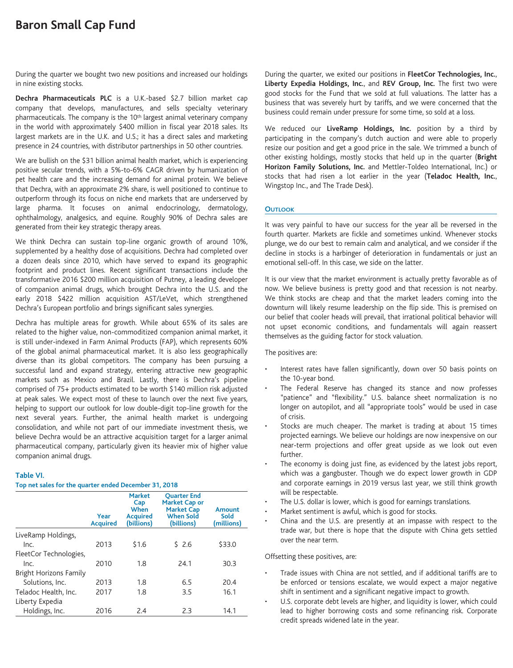# **Baron Small Cap Fund**

During the quarter we bought two new positions and increased our holdings in nine existing stocks.

**Dechra Pharmaceuticals PLC** is a U.K.-based \$2.7 billion market cap company that develops, manufactures, and sells specialty veterinary pharmaceuticals. The company is the 10<sup>th</sup> largest animal veterinary company in the world with approximately \$400 million in fiscal year 2018 sales. Its largest markets are in the U.K. and U.S.; it has a direct sales and marketing presence in 24 countries, with distributor partnerships in 50 other countries.

We are bullish on the \$31 billion animal health market, which is experiencing positive secular trends, with a 5%-to-6% CAGR driven by humanization of pet health care and the increasing demand for animal protein. We believe that Dechra, with an approximate 2% share, is well positioned to continue to outperform through its focus on niche end markets that are underserved by large pharma. It focuses on animal endocrinology, dermatology, ophthalmology, analgesics, and equine. Roughly 90% of Dechra sales are generated from their key strategic therapy areas.

We think Dechra can sustain top-line organic growth of around 10%, supplemented by a healthy dose of acquisitions. Dechra had completed over a dozen deals since 2010, which have served to expand its geographic footprint and product lines. Recent significant transactions include the transformative 2016 \$200 million acquisition of Putney, a leading developer of companion animal drugs, which brought Dechra into the U.S. and the early 2018 \$422 million acquisition AST/LeVet, which strengthened Dechra's European portfolio and brings significant sales synergies.

Dechra has multiple areas for growth. While about 65% of its sales are related to the higher value, non-commoditized companion animal market, it is still under-indexed in Farm Animal Products (FAP), which represents 60% of the global animal pharmaceutical market. It is also less geographically diverse than its global competitors. The company has been pursuing a successful land and expand strategy, entering attractive new geographic markets such as Mexico and Brazil. Lastly, there is Dechra's pipeline comprised of 75+ products estimated to be worth \$140 million risk adjusted at peak sales. We expect most of these to launch over the next five years, helping to support our outlook for low double-digit top-line growth for the next several years. Further, the animal health market is undergoing consolidation, and while not part of our immediate investment thesis, we believe Dechra would be an attractive acquisition target for a larger animal pharmaceutical company, particularly given its heavier mix of higher value companion animal drugs.

## **Table VI.**

## **Top net sales for the quarter ended December 31, 2018**

|                        | Year<br><b>Acquired</b> | <b>Market</b><br>Cap<br>When<br><b>Acquired</b><br>(billions) | <b>Ouarter End</b><br><b>Market Cap or</b><br><b>Market Cap</b><br><b>When Sold</b><br>(billions) | Amount<br>Sold<br>(millions) |
|------------------------|-------------------------|---------------------------------------------------------------|---------------------------------------------------------------------------------------------------|------------------------------|
| LiveRamp Holdings,     |                         |                                                               |                                                                                                   |                              |
| Inc.                   | 2013                    | \$1.6                                                         | \$2.6                                                                                             | \$33.0                       |
| FleetCor Technologies, |                         |                                                               |                                                                                                   |                              |
| Inc.                   | 2010                    | 1.8                                                           | 24.1                                                                                              | 30.3                         |
| Bright Horizons Family |                         |                                                               |                                                                                                   |                              |
| Solutions, Inc.        | 2013                    | 1.8                                                           | 6.5                                                                                               | 20.4                         |
| Teladoc Health, Inc.   | 2017                    | 1.8                                                           | 3.5                                                                                               | 16.1                         |
| Liberty Expedia        |                         |                                                               |                                                                                                   |                              |
| Holdings, Inc.         | 2016                    | 2.4                                                           | 2.3                                                                                               | 14.1                         |

During the quarter, we exited our positions in **FleetCor Technologies, Inc.**, **Liberty Expedia Holdings, Inc.**, and **REV Group, Inc.** The first two were good stocks for the Fund that we sold at full valuations. The latter has a business that was severely hurt by tariffs, and we were concerned that the business could remain under pressure for some time, so sold at a loss.

We reduced our **LiveRamp Holdings, Inc.** position by a third by participating in the company's dutch auction and were able to properly resize our position and get a good price in the sale. We trimmed a bunch of other existing holdings, mostly stocks that held up in the quarter (**Bright Horizon Family Solutions, Inc.** and Mettler-Toldeo International, Inc.) or stocks that had risen a lot earlier in the year (**Teladoc Health, Inc.**, Wingstop Inc., and The Trade Desk).

#### **OUTLOOK**

It was very painful to have our success for the year all be reversed in the fourth quarter. Markets are fickle and sometimes unkind. Whenever stocks plunge, we do our best to remain calm and analytical, and we consider if the decline in stocks is a harbinger of deterioration in fundamentals or just an emotional sell-off. In this case, we side on the latter.

It is our view that the market environment is actually pretty favorable as of now. We believe business is pretty good and that recession is not nearby. We think stocks are cheap and that the market leaders coming into the downturn will likely resume leadership on the flip side. This is premised on our belief that cooler heads will prevail, that irrational political behavior will not upset economic conditions, and fundamentals will again reassert themselves as the guiding factor for stock valuation.

The positives are:

- Interest rates have fallen significantly, down over 50 basis points on the 10-year bond.
- The Federal Reserve has changed its stance and now professes "patience" and "flexibility." U.S. balance sheet normalization is no longer on autopilot, and all "appropriate tools" would be used in case of crisis.
- Stocks are much cheaper. The market is trading at about 15 times projected earnings. We believe our holdings are now inexpensive on our near-term projections and offer great upside as we look out even further.
- The economy is doing just fine, as evidenced by the latest jobs report, which was a gangbuster. Though we do expect lower growth in GDP and corporate earnings in 2019 versus last year, we still think growth will be respectable.
- The U.S. dollar is lower, which is good for earnings translations.
- Market sentiment is awful, which is good for stocks.
- China and the U.S. are presently at an impasse with respect to the trade war, but there is hope that the dispute with China gets settled over the near term.

## Offsetting these positives, are:

- Trade issues with China are not settled, and if additional tariffs are to be enforced or tensions escalate, we would expect a major negative shift in sentiment and a significant negative impact to growth.
- U.S. corporate debt levels are higher, and liquidity is lower, which could lead to higher borrowing costs and some refinancing risk. Corporate credit spreads widened late in the year.